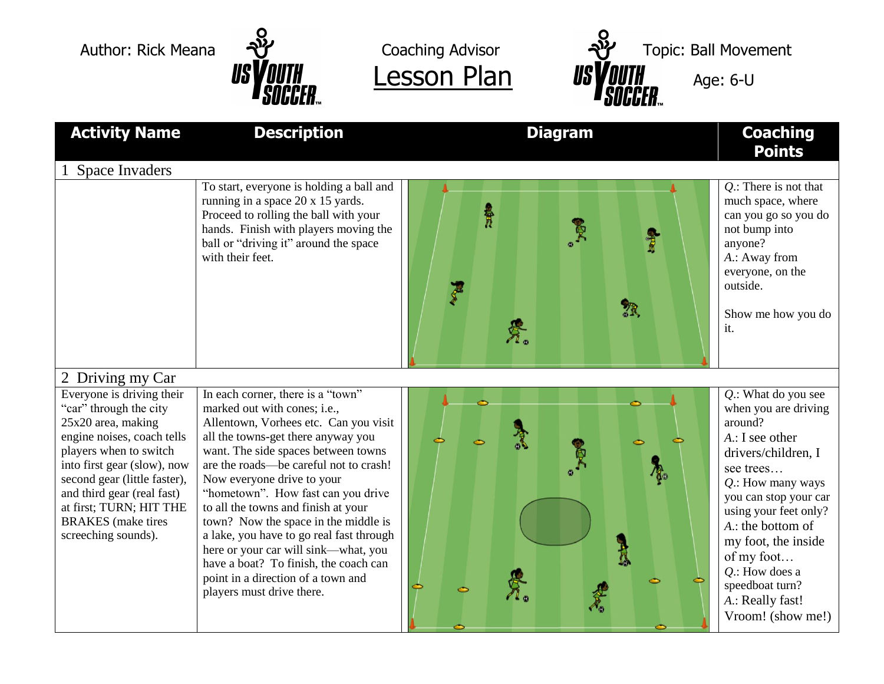



| <b>Activity Name</b>                                                                                                                                                                                                                                                                                          | <b>Description</b>                                                                                                                                                                                                                                                                                                                                                                                                                                                                                                                                                                   | <b>Diagram</b>                        | <b>Coaching</b><br><b>Points</b>                                                                                                                                                                                                                                                                                                         |
|---------------------------------------------------------------------------------------------------------------------------------------------------------------------------------------------------------------------------------------------------------------------------------------------------------------|--------------------------------------------------------------------------------------------------------------------------------------------------------------------------------------------------------------------------------------------------------------------------------------------------------------------------------------------------------------------------------------------------------------------------------------------------------------------------------------------------------------------------------------------------------------------------------------|---------------------------------------|------------------------------------------------------------------------------------------------------------------------------------------------------------------------------------------------------------------------------------------------------------------------------------------------------------------------------------------|
| <b>Space Invaders</b>                                                                                                                                                                                                                                                                                         | To start, everyone is holding a ball and<br>running in a space 20 x 15 yards.<br>Proceed to rolling the ball with your<br>hands. Finish with players moving the<br>ball or "driving it" around the space<br>with their feet.                                                                                                                                                                                                                                                                                                                                                         | 景<br><b>全国</b><br>$\sqrt[3]{3}$<br>景。 | $Q$ .: There is not that<br>much space, where<br>can you go so you do<br>not bump into<br>anyone?<br>A.: Away from<br>everyone, on the<br>outside.<br>Show me how you do<br>it.                                                                                                                                                          |
| 2 Driving my Car                                                                                                                                                                                                                                                                                              |                                                                                                                                                                                                                                                                                                                                                                                                                                                                                                                                                                                      |                                       |                                                                                                                                                                                                                                                                                                                                          |
| Everyone is driving their<br>"car" through the city<br>25x20 area, making<br>engine noises, coach tells<br>players when to switch<br>into first gear (slow), now<br>second gear (little faster),<br>and third gear (real fast)<br>at first; TURN; HIT THE<br><b>BRAKES</b> (make tires<br>screeching sounds). | In each corner, there is a "town"<br>marked out with cones; i.e.,<br>Allentown, Vorhees etc. Can you visit<br>all the towns-get there anyway you<br>want. The side spaces between towns<br>are the roads—be careful not to crash!<br>Now everyone drive to your<br>"hometown". How fast can you drive<br>to all the towns and finish at your<br>town? Now the space in the middle is<br>a lake, you have to go real fast through<br>here or your car will sink—what, you<br>have a boat? To finish, the coach can<br>point in a direction of a town and<br>players must drive there. |                                       | $Q$ .: What do you see<br>when you are driving<br>around?<br>$A$ .: I see other<br>drivers/children, I<br>see trees<br>$Q$ .: How many ways<br>you can stop your car<br>using your feet only?<br>A.: the bottom of<br>my foot, the inside<br>of my foot<br>$Q$ .: How does a<br>speedboat turn?<br>A.: Really fast!<br>Vroom! (show me!) |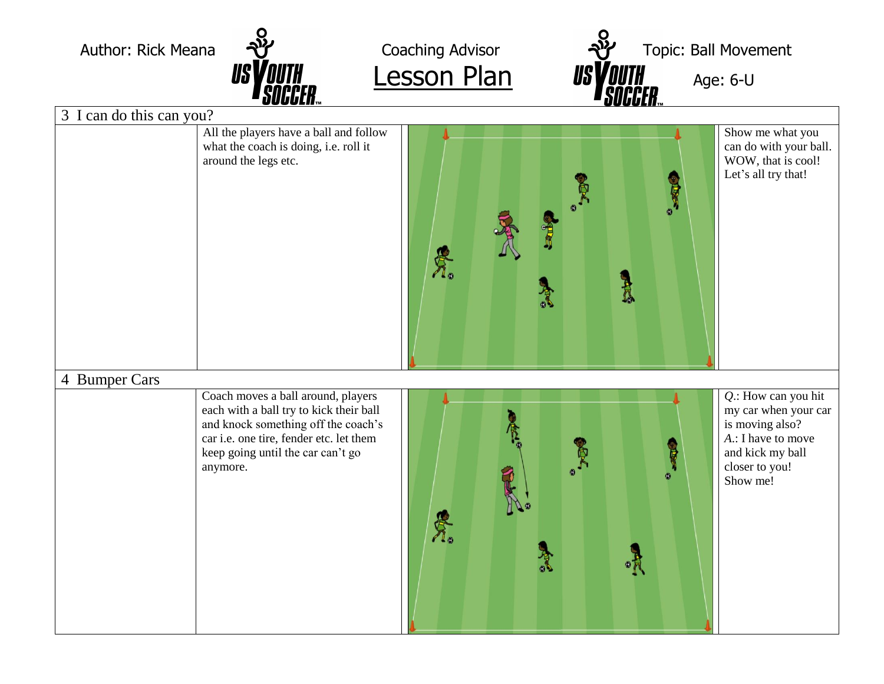